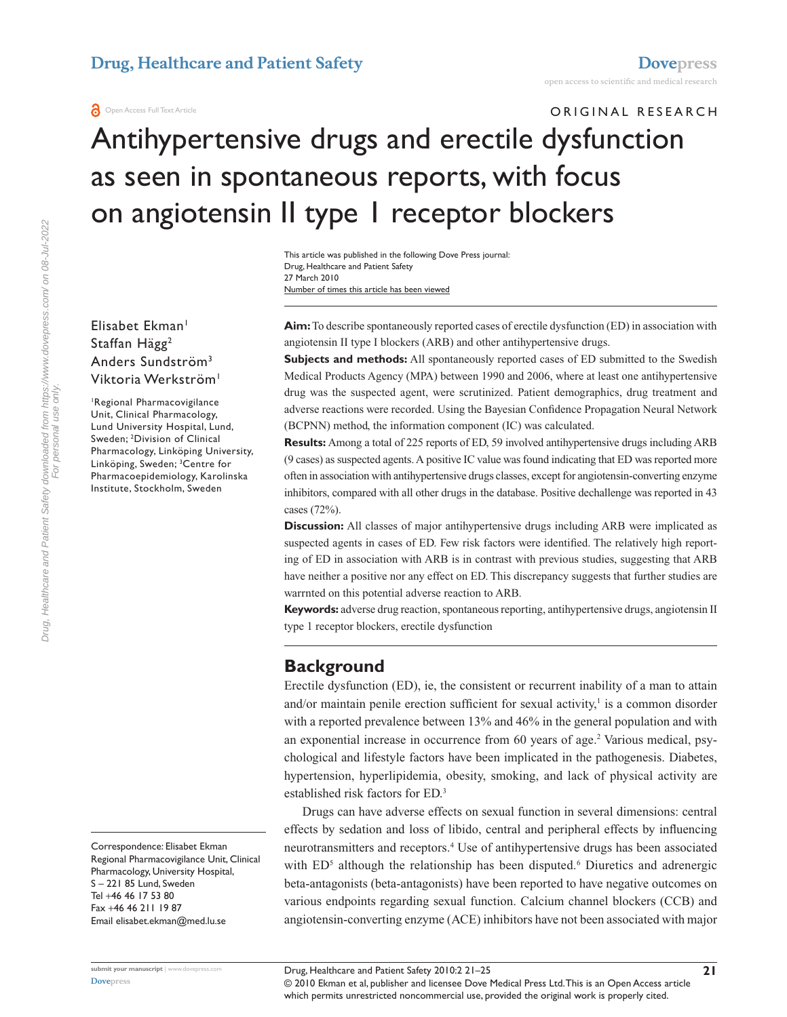# ORIGINAL RESEARCH Antihypertensive drugs and erectile dysfunction as seen in spontaneous reports, with focus on angiotensin II type 1 receptor blockers

Number of times this article has been viewed This article was published in the following Dove Press journal: Drug, Healthcare and Patient Safety 27 March 2010

Elisabet Ekman<sup>1</sup> Staffan Hägg<sup>2</sup> Anders Sundström3

Viktoria Werkström<sup>1</sup>

1 Regional Pharmacovigilance Unit, Clinical Pharmacology, Lund University Hospital, Lund, Sweden; 2 Division of Clinical Pharmacology, Linköping University, Linköping, Sweden; 3 Centre for Pharmacoepidemiology, Karolinska Institute, Stockholm, Sweden

Correspondence: Elisabet Ekman Regional Pharmacovigilance Unit, Clinical Pharmacology, University Hospital, S – 221 85 Lund, Sweden Tel +46 46 17 53 80 Fax +46 46 211 19 87 Email elisabet.ekman@med.lu.se

**Aim:** To describe spontaneously reported cases of erectile dysfunction (ED) in association with angiotensin II type I blockers (ARB) and other antihypertensive drugs.

**Subjects and methods:** All spontaneously reported cases of ED submitted to the Swedish Medical Products Agency (MPA) between 1990 and 2006, where at least one antihypertensive drug was the suspected agent, were scrutinized. Patient demographics, drug treatment and adverse reactions were recorded. Using the Bayesian Confidence Propagation Neural Network (BCPNN) method, the information component (IC) was calculated.

**Results:** Among a total of 225 reports of ED, 59 involved antihypertensive drugs including ARB (9 cases) as suspected agents. A positive IC value was found indicating that ED was reported more often in association with antihypertensive drugs classes, except for angiotensin-converting enzyme inhibitors, compared with all other drugs in the database. Positive dechallenge was reported in 43 cases (72%).

**Discussion:** All classes of major antihypertensive drugs including ARB were implicated as suspected agents in cases of ED. Few risk factors were identified. The relatively high reporting of ED in association with ARB is in contrast with previous studies, suggesting that ARB have neither a positive nor any effect on ED. This discrepancy suggests that further studies are warrnted on this potential adverse reaction to ARB.

**Keywords:** adverse drug reaction, spontaneous reporting, antihypertensive drugs, angiotensin II type 1 receptor blockers, erectile dysfunction

## **Background**

Erectile dysfunction (ED), ie, the consistent or recurrent inability of a man to attain and/or maintain penile erection sufficient for sexual activity, $\frac{1}{1}$  is a common disorder with a reported prevalence between 13% and 46% in the general population and with an exponential increase in occurrence from 60 years of age.<sup>2</sup> Various medical, psychological and lifestyle factors have been implicated in the pathogenesis. Diabetes, hypertension, hyperlipidemia, obesity, smoking, and lack of physical activity are established risk factors for ED.3

Drugs can have adverse effects on sexual function in several dimensions: central effects by sedation and loss of libido, central and peripheral effects by influencing neurotransmitters and receptors.4 Use of antihypertensive drugs has been associated with ED<sup>5</sup> although the relationship has been disputed.<sup>6</sup> Diuretics and adrenergic beta-antagonists (beta-antagonists) have been reported to have negative outcomes on various endpoints regarding sexual function. Calcium channel blockers (CCB) and angiotensin-converting enzyme (ACE) inhibitors have not been associated with major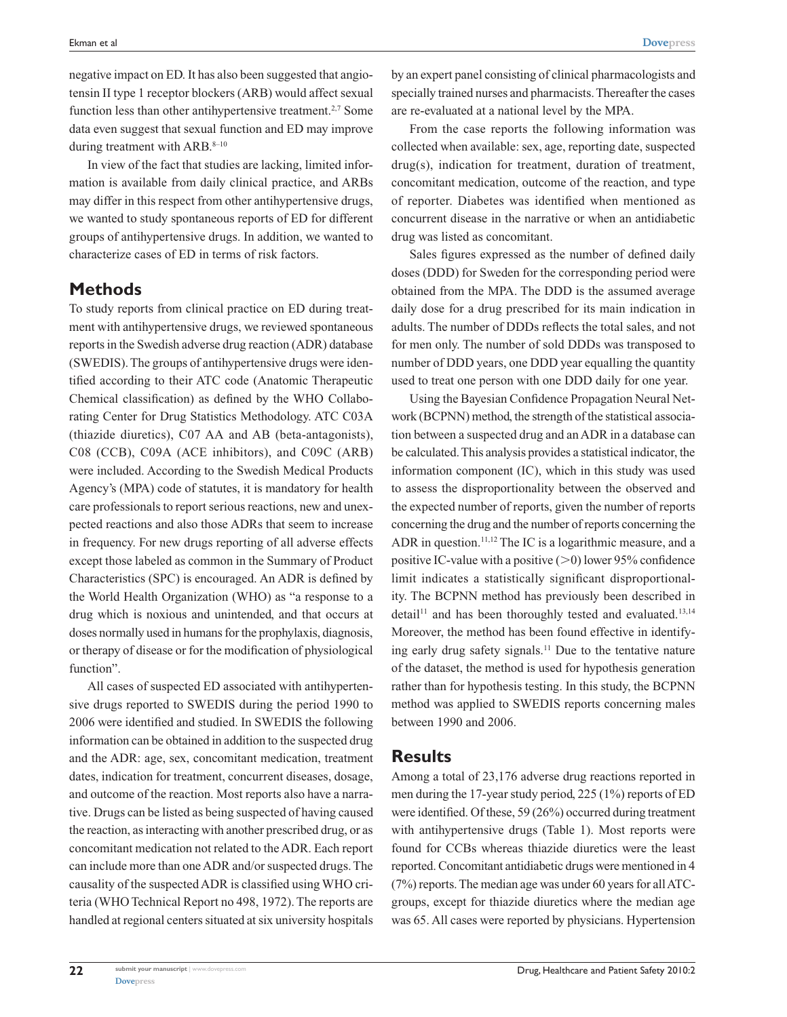negative impact on ED. It has also been suggested that angiotensin II type 1 receptor blockers (ARB) would affect sexual function less than other antihypertensive treatment.<sup>2,7</sup> Some data even suggest that sexual function and ED may improve during treatment with ARB. $8-10$ 

In view of the fact that studies are lacking, limited information is available from daily clinical practice, and ARBs may differ in this respect from other antihypertensive drugs, we wanted to study spontaneous reports of ED for different groups of antihypertensive drugs. In addition, we wanted to characterize cases of ED in terms of risk factors.

#### **Methods**

To study reports from clinical practice on ED during treatment with antihypertensive drugs, we reviewed spontaneous reports in the Swedish adverse drug reaction (ADR) database (SWEDIS). The groups of antihypertensive drugs were identified according to their ATC code (Anatomic Therapeutic Chemical classification) as defined by the WHO Collaborating Center for Drug Statistics Methodology. ATC C03A (thiazide diuretics), C07 AA and AB (beta-antagonists), C08 (CCB), C09A (ACE inhibitors), and C09C (ARB) were included. According to the Swedish Medical Products Agency's (MPA) code of statutes, it is mandatory for health care professionals to report serious reactions, new and unexpected reactions and also those ADRs that seem to increase in frequency. For new drugs reporting of all adverse effects except those labeled as common in the Summary of Product Characteristics (SPC) is encouraged. An ADR is defined by the World Health Organization (WHO) as "a response to a drug which is noxious and unintended, and that occurs at doses normally used in humans for the prophylaxis, diagnosis, or therapy of disease or for the modification of physiological function".

All cases of suspected ED associated with antihypertensive drugs reported to SWEDIS during the period 1990 to 2006 were identified and studied. In SWEDIS the following information can be obtained in addition to the suspected drug and the ADR: age, sex, concomitant medication, treatment dates, indication for treatment, concurrent diseases, dosage, and outcome of the reaction. Most reports also have a narrative. Drugs can be listed as being suspected of having caused the reaction, as interacting with another prescribed drug, or as concomitant medication not related to the ADR. Each report can include more than one ADR and/or suspected drugs. The causality of the suspected ADR is classified using WHO criteria (WHO Technical Report no 498, 1972). The reports are handled at regional centers situated at six university hospitals by an expert panel consisting of clinical pharmacologists and specially trained nurses and pharmacists. Thereafter the cases are re-evaluated at a national level by the MPA.

From the case reports the following information was collected when available: sex, age, reporting date, suspected drug(s), indication for treatment, duration of treatment, concomitant medication, outcome of the reaction, and type of reporter. Diabetes was identified when mentioned as concurrent disease in the narrative or when an antidiabetic drug was listed as concomitant.

Sales figures expressed as the number of defined daily doses (DDD) for Sweden for the corresponding period were obtained from the MPA. The DDD is the assumed average daily dose for a drug prescribed for its main indication in adults. The number of DDDs reflects the total sales, and not for men only. The number of sold DDDs was transposed to number of DDD years, one DDD year equalling the quantity used to treat one person with one DDD daily for one year.

Using the Bayesian Confidence Propagation Neural Network (BCPNN) method, the strength of the statistical association between a suspected drug and an ADR in a database can be calculated. This analysis provides a statistical indicator, the information component (IC), which in this study was used to assess the disproportionality between the observed and the expected number of reports, given the number of reports concerning the drug and the number of reports concerning the ADR in question.11,12 The IC is a logarithmic measure, and a positive IC-value with a positive  $(0)$  lower 95% confidence limit indicates a statistically significant disproportionality. The BCPNN method has previously been described in detail<sup>11</sup> and has been thoroughly tested and evaluated.<sup>13,14</sup> Moreover, the method has been found effective in identifying early drug safety signals.<sup>11</sup> Due to the tentative nature of the dataset, the method is used for hypothesis generation rather than for hypothesis testing. In this study, the BCPNN method was applied to SWEDIS reports concerning males between 1990 and 2006.

#### **Results**

Among a total of 23,176 adverse drug reactions reported in men during the 17-year study period, 225 (1%) reports of ED were identified. Of these, 59 (26%) occurred during treatment with antihypertensive drugs (Table 1). Most reports were found for CCBs whereas thiazide diuretics were the least reported. Concomitant antidiabetic drugs were mentioned in 4 (7%) reports. The median age was under 60 years for all ATCgroups, except for thiazide diuretics where the median age was 65. All cases were reported by physicians. Hypertension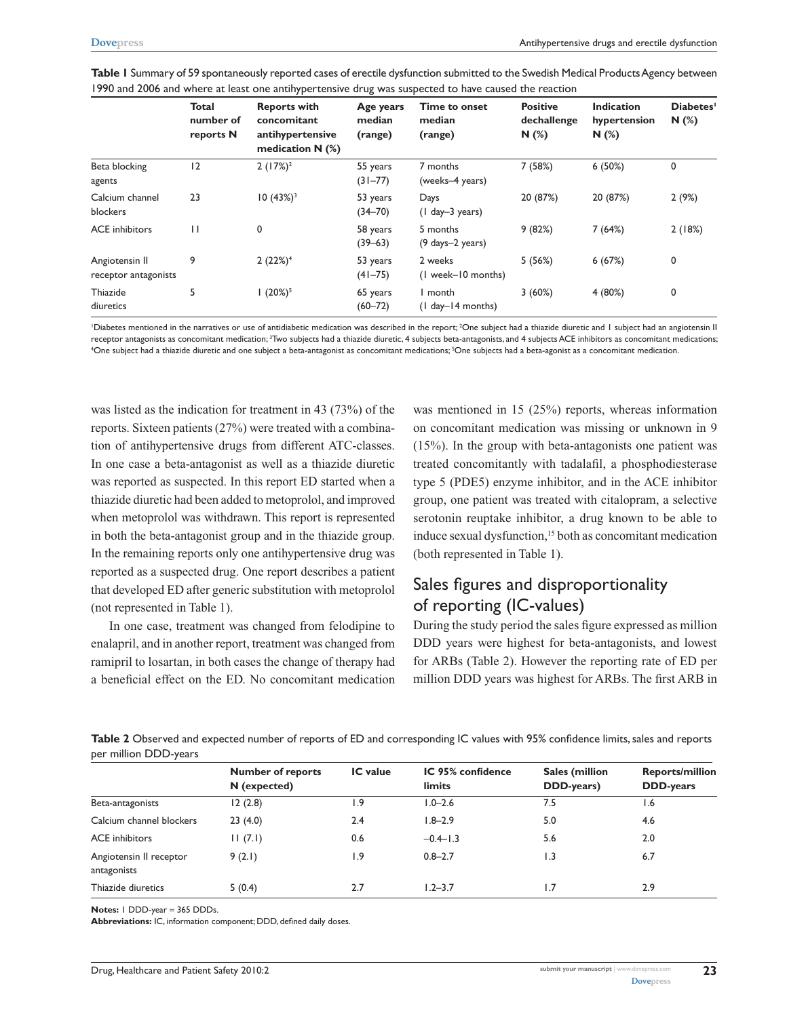|                                        | <b>Total</b><br>number of<br>reports N | <b>Reports with</b><br>concomitant<br>antihypertensive<br>medication $N$ (%) | Age years<br>median<br>(range) | Time to onset<br>median<br>(range) | <b>Positive</b><br>dechallenge<br>$N(\%)$ | <b>Indication</b><br>hypertension<br>N(%) | Diabetes'<br>N(%) |
|----------------------------------------|----------------------------------------|------------------------------------------------------------------------------|--------------------------------|------------------------------------|-------------------------------------------|-------------------------------------------|-------------------|
| Beta blocking<br>agents                | 12                                     | $2(17%)^2$                                                                   | 55 years<br>$(31 - 77)$        | 7 months<br>(weeks-4 years)        | 7(58%)                                    | 6(50%)                                    | 0                 |
| Calcium channel<br>blockers            | 23                                     | $10(43\%)$ <sup>3</sup>                                                      | 53 years<br>$(34 - 70)$        | Days<br>$(1$ day-3 years)          | 20 (87%)                                  | 20 (87%)                                  | 2(9%)             |
| <b>ACE</b> inhibitors                  | $\mathbf{H}$                           | 0                                                                            | 58 years<br>$(39 - 63)$        | 5 months<br>(9 days-2 years)       | 9(82%)                                    | 7(64%)                                    | 2(18%)            |
| Angiotensin II<br>receptor antagonists | 9                                      | 2(22%) <sup>4</sup>                                                          | 53 years<br>$(41 - 75)$        | 2 weeks<br>(1 week-10 months)      | 5(56%)                                    | 6(67%)                                    | 0                 |
| Thiazide<br>diuretics                  | 5                                      | $1(20\%)^5$                                                                  | 65 years<br>$(60 - 72)$        | I month<br>$(l$ day-14 months)     | 3(60%)                                    | 4(80%)                                    | 0                 |

**Table 1** Summary of 59 spontaneously reported cases of erectile dysfunction submitted to the Swedish Medical Products Agency between 1990 and 2006 and where at least one antihypertensive drug was suspected to have caused the reaction

'Diabetes mentioned in the narratives or use of antidiabetic medication was described in the report; <sup>2</sup>One subject had a thiazide diuretic and I subject had an angiotensin I receptor antagonists as concomitant medication; <sup>3</sup>Two subjects had a thiazide diuretic, 4 subjects beta-antagonists, and 4 subjects ACE inhibitors as concomitant medications;<br>"One subject had a thiazide diuretic and one s One subject had a thiazide diuretic and one subject a beta-antagonist as concomitant medications; <sup>s</sup>One subjects had a beta-agonist as a concomitant medication.

was listed as the indication for treatment in 43 (73%) of the reports. Sixteen patients (27%) were treated with a combination of antihypertensive drugs from different ATC-classes. In one case a beta-antagonist as well as a thiazide diuretic was reported as suspected. In this report ED started when a thiazide diuretic had been added to metoprolol, and improved when metoprolol was withdrawn. This report is represented in both the beta-antagonist group and in the thiazide group. In the remaining reports only one antihypertensive drug was reported as a suspected drug. One report describes a patient that developed ED after generic substitution with metoprolol (not represented in Table 1).

In one case, treatment was changed from felodipine to enalapril, and in another report, treatment was changed from ramipril to losartan, in both cases the change of therapy had a beneficial effect on the ED. No concomitant medication was mentioned in 15 (25%) reports, whereas information on concomitant medication was missing or unknown in 9 (15%). In the group with beta-antagonists one patient was treated concomitantly with tadalafil, a phosphodiesterase type 5 (PDE5) enzyme inhibitor, and in the ACE inhibitor group, one patient was treated with citalopram, a selective serotonin reuptake inhibitor, a drug known to be able to induce sexual dysfunction,<sup>15</sup> both as concomitant medication (both represented in Table 1).

# Sales figures and disproportionality of reporting (IC-values)

During the study period the sales figure expressed as million DDD years were highest for beta-antagonists, and lowest for ARBs (Table 2). However the reporting rate of ED per million DDD years was highest for ARBs. The first ARB in

| Table 2 Observed and expected number of reports of ED and corresponding IC values with 95% confidence limits, sales and reports |  |  |  |
|---------------------------------------------------------------------------------------------------------------------------------|--|--|--|
| per million DDD-years                                                                                                           |  |  |  |

|                                        | <b>Number of reports</b><br>N (expected) | <b>IC</b> value | IC 95% confidence<br>limits | Sales (million<br>DDD-years) | <b>Reports/million</b><br><b>DDD-years</b> |
|----------------------------------------|------------------------------------------|-----------------|-----------------------------|------------------------------|--------------------------------------------|
| Beta-antagonists                       | 12(2.8)                                  | 1.9             | $1.0 - 2.6$                 | 7.5                          | 1.6                                        |
| Calcium channel blockers               | 23(4.0)                                  | 2.4             | $1.8 - 2.9$                 | 5.0                          | 4.6                                        |
| <b>ACE</b> inhibitors                  | 11(7.1)                                  | 0.6             | $-0.4-1.3$                  | 5.6                          | 2.0                                        |
| Angiotensin II receptor<br>antagonists | 9(2.1)                                   | 1.9             | $0.8 - 2.7$                 | 1.3                          | 6.7                                        |
| Thiazide diuretics                     | 5(0.4)                                   | 2.7             | $1.2 - 3.7$                 | 1.7                          | 2.9                                        |

**Notes:** 1 DDD-year = 365 DDDs.

**Abbreviations:** IC, information component; DDD, defined daily doses.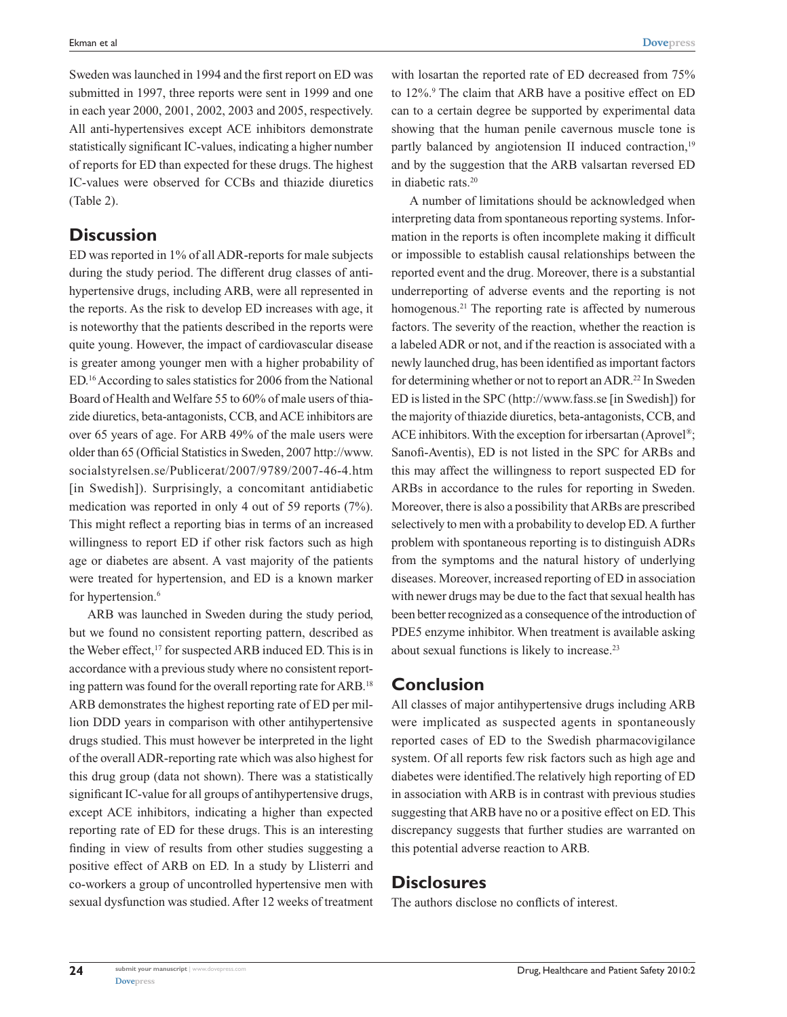Sweden was launched in 1994 and the first report on ED was submitted in 1997, three reports were sent in 1999 and one in each year 2000, 2001, 2002, 2003 and 2005, respectively. All anti-hypertensives except ACE inhibitors demonstrate statistically significant IC-values, indicating a higher number of reports for ED than expected for these drugs. The highest IC-values were observed for CCBs and thiazide diuretics (Table 2).

# **Discussion**

ED was reported in 1% of all ADR-reports for male subjects during the study period. The different drug classes of antihypertensive drugs, including ARB, were all represented in the reports. As the risk to develop ED increases with age, it is noteworthy that the patients described in the reports were quite young. However, the impact of cardiovascular disease is greater among younger men with a higher probability of ED.16 According to sales statistics for 2006 from the National Board of Health and Welfare 55 to 60% of male users of thiazide diuretics, beta-antagonists, CCB, and ACE inhibitors are over 65 years of age. For ARB 49% of the male users were older than 65 (Official Statistics in Sweden, 2007 http://www. socialstyrelsen.se/Publicerat/2007/9789/2007-46-4.htm [in Swedish]). Surprisingly, a concomitant antidiabetic medication was reported in only 4 out of 59 reports (7%). This might reflect a reporting bias in terms of an increased willingness to report ED if other risk factors such as high age or diabetes are absent. A vast majority of the patients were treated for hypertension, and ED is a known marker for hypertension.<sup>6</sup>

ARB was launched in Sweden during the study period, but we found no consistent reporting pattern, described as the Weber effect,<sup>17</sup> for suspected ARB induced ED. This is in accordance with a previous study where no consistent reporting pattern was found for the overall reporting rate for ARB.18 ARB demonstrates the highest reporting rate of ED per million DDD years in comparison with other antihypertensive drugs studied. This must however be interpreted in the light of the overall ADR-reporting rate which was also highest for this drug group (data not shown). There was a statistically significant IC-value for all groups of antihypertensive drugs, except ACE inhibitors, indicating a higher than expected reporting rate of ED for these drugs. This is an interesting finding in view of results from other studies suggesting a positive effect of ARB on ED. In a study by Llisterri and co-workers a group of uncontrolled hypertensive men with sexual dysfunction was studied. After 12 weeks of treatment

with losartan the reported rate of ED decreased from 75% to 12%.<sup>9</sup> The claim that ARB have a positive effect on ED can to a certain degree be supported by experimental data showing that the human penile cavernous muscle tone is partly balanced by angiotension II induced contraction,<sup>19</sup> and by the suggestion that the ARB valsartan reversed ED in diabetic rats.20

A number of limitations should be acknowledged when interpreting data from spontaneous reporting systems. Information in the reports is often incomplete making it difficult or impossible to establish causal relationships between the reported event and the drug. Moreover, there is a substantial underreporting of adverse events and the reporting is not homogenous.<sup>21</sup> The reporting rate is affected by numerous factors. The severity of the reaction, whether the reaction is a labeled ADR or not, and if the reaction is associated with a newly launched drug, has been identified as important factors for determining whether or not to report an ADR.<sup>22</sup> In Sweden ED is listed in the SPC (http://www.fass.se [in Swedish]) for the majority of thiazide diuretics, beta-antagonists, CCB, and ACE inhibitors. With the exception for irbersartan (Aprovel<sup>®</sup>; Sanofi-Aventis), ED is not listed in the SPC for ARBs and this may affect the willingness to report suspected ED for ARBs in accordance to the rules for reporting in Sweden. Moreover, there is also a possibility that ARBs are prescribed selectively to men with a probability to develop ED. A further problem with spontaneous reporting is to distinguish ADRs from the symptoms and the natural history of underlying diseases. Moreover, increased reporting of ED in association with newer drugs may be due to the fact that sexual health has been better recognized as a consequence of the introduction of PDE5 enzyme inhibitor. When treatment is available asking about sexual functions is likely to increase.23

## **Conclusion**

All classes of major antihypertensive drugs including ARB were implicated as suspected agents in spontaneously reported cases of ED to the Swedish pharmacovigilance system. Of all reports few risk factors such as high age and diabetes were identified.The relatively high reporting of ED in association with ARB is in contrast with previous studies suggesting that ARB have no or a positive effect on ED. This discrepancy suggests that further studies are warranted on this potential adverse reaction to ARB.

## **Disclosures**

The authors disclose no conflicts of interest.